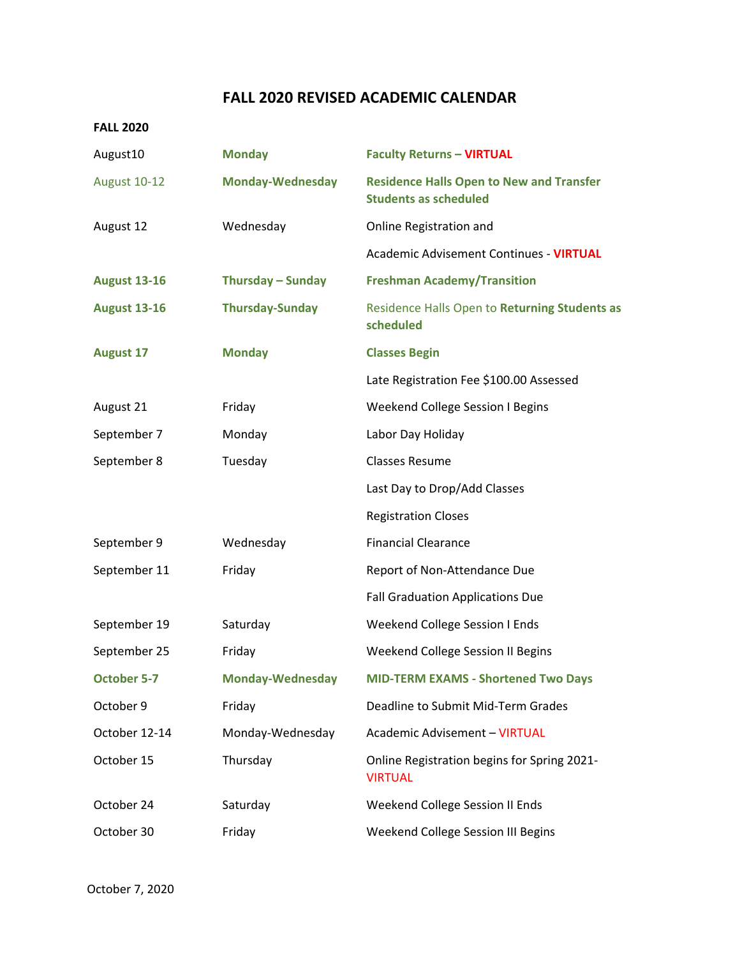## **FALL 2020 REVISED ACADEMIC CALENDAR**

## **FALL 2020**

| August10            | <b>Monday</b>           | <b>Faculty Returns - VIRTUAL</b>                                                |
|---------------------|-------------------------|---------------------------------------------------------------------------------|
| <b>August 10-12</b> | <b>Monday-Wednesday</b> | <b>Residence Halls Open to New and Transfer</b><br><b>Students as scheduled</b> |
| August 12           | Wednesday               | Online Registration and                                                         |
|                     |                         | <b>Academic Advisement Continues - VIRTUAL</b>                                  |
| <b>August 13-16</b> | Thursday - Sunday       | <b>Freshman Academy/Transition</b>                                              |
| <b>August 13-16</b> | <b>Thursday-Sunday</b>  | Residence Halls Open to Returning Students as<br>scheduled                      |
| <b>August 17</b>    | <b>Monday</b>           | <b>Classes Begin</b>                                                            |
|                     |                         | Late Registration Fee \$100.00 Assessed                                         |
| August 21           | Friday                  | <b>Weekend College Session I Begins</b>                                         |
| September 7         | Monday                  | Labor Day Holiday                                                               |
| September 8         | Tuesday                 | <b>Classes Resume</b>                                                           |
|                     |                         | Last Day to Drop/Add Classes                                                    |
|                     |                         | <b>Registration Closes</b>                                                      |
| September 9         | Wednesday               | <b>Financial Clearance</b>                                                      |
| September 11        | Friday                  | Report of Non-Attendance Due                                                    |
|                     |                         | <b>Fall Graduation Applications Due</b>                                         |
| September 19        | Saturday                | Weekend College Session I Ends                                                  |
| September 25        | Friday                  | Weekend College Session II Begins                                               |
| <b>October 5-7</b>  | <b>Monday-Wednesday</b> | <b>MID-TERM EXAMS - Shortened Two Days</b>                                      |
| October 9           | Friday                  | Deadline to Submit Mid-Term Grades                                              |
| October 12-14       | Monday-Wednesday        | <b>Academic Advisement - VIRTUAL</b>                                            |
| October 15          | Thursday                | Online Registration begins for Spring 2021-<br><b>VIRTUAL</b>                   |
| October 24          | Saturday                | Weekend College Session II Ends                                                 |
| October 30          | Friday                  | Weekend College Session III Begins                                              |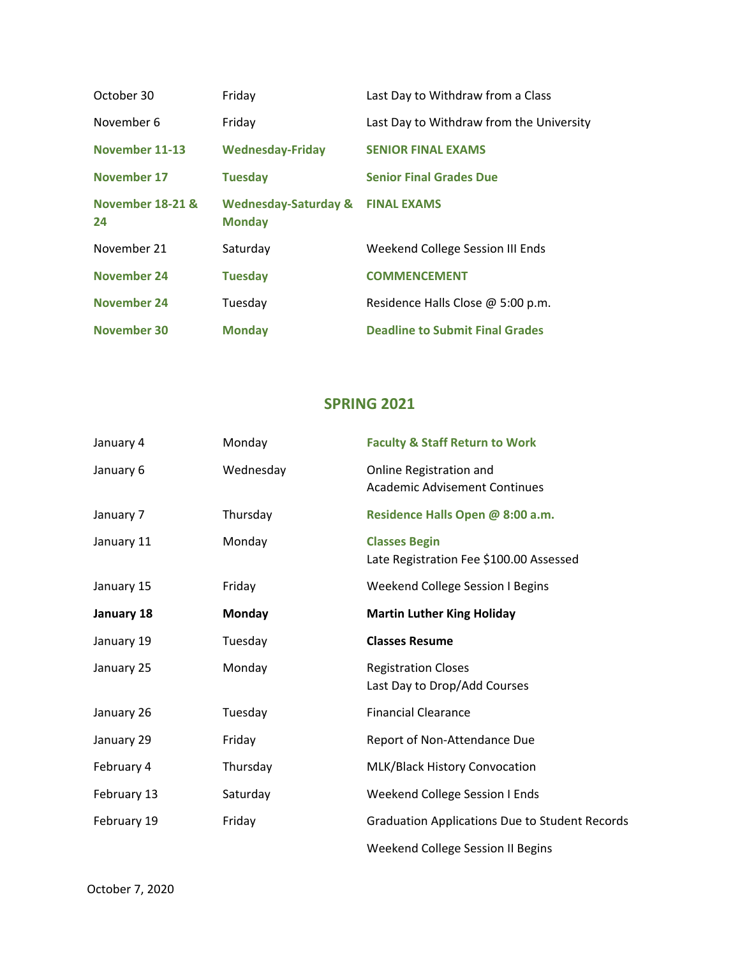| October 30             | Friday                                           | Last Day to Withdraw from a Class        |
|------------------------|--------------------------------------------------|------------------------------------------|
| November 6             | Friday                                           | Last Day to Withdraw from the University |
| November 11-13         | <b>Wednesday-Friday</b>                          | <b>SENIOR FINAL EXAMS</b>                |
| November 17            | <b>Tuesday</b>                                   | <b>Senior Final Grades Due</b>           |
| November 18-21 &<br>24 | <b>Wednesday-Saturday &amp;</b><br><b>Monday</b> | <b>FINAL EXAMS</b>                       |
| November 21            | Saturday                                         | Weekend College Session III Ends         |
| <b>November 24</b>     | <b>Tuesday</b>                                   | <b>COMMENCEMENT</b>                      |
| <b>November 24</b>     | Tuesday                                          | Residence Halls Close @ 5:00 p.m.        |
| November 30            | <b>Monday</b>                                    | <b>Deadline to Submit Final Grades</b>   |

## **SPRING 2021**

| January 4   | Monday    | <b>Faculty &amp; Staff Return to Work</b>                       |
|-------------|-----------|-----------------------------------------------------------------|
| January 6   | Wednesday | Online Registration and<br><b>Academic Advisement Continues</b> |
| January 7   | Thursday  | Residence Halls Open @ 8:00 a.m.                                |
| January 11  | Monday    | <b>Classes Begin</b><br>Late Registration Fee \$100.00 Assessed |
| January 15  | Friday    | Weekend College Session I Begins                                |
| January 18  | Monday    | <b>Martin Luther King Holiday</b>                               |
| January 19  | Tuesday   | <b>Classes Resume</b>                                           |
| January 25  | Monday    | <b>Registration Closes</b><br>Last Day to Drop/Add Courses      |
| January 26  | Tuesday   | <b>Financial Clearance</b>                                      |
| January 29  | Friday    | Report of Non-Attendance Due                                    |
| February 4  | Thursday  | MLK/Black History Convocation                                   |
| February 13 | Saturday  | Weekend College Session I Ends                                  |
| February 19 | Friday    | <b>Graduation Applications Due to Student Records</b>           |
|             |           | Weekend College Session II Begins                               |